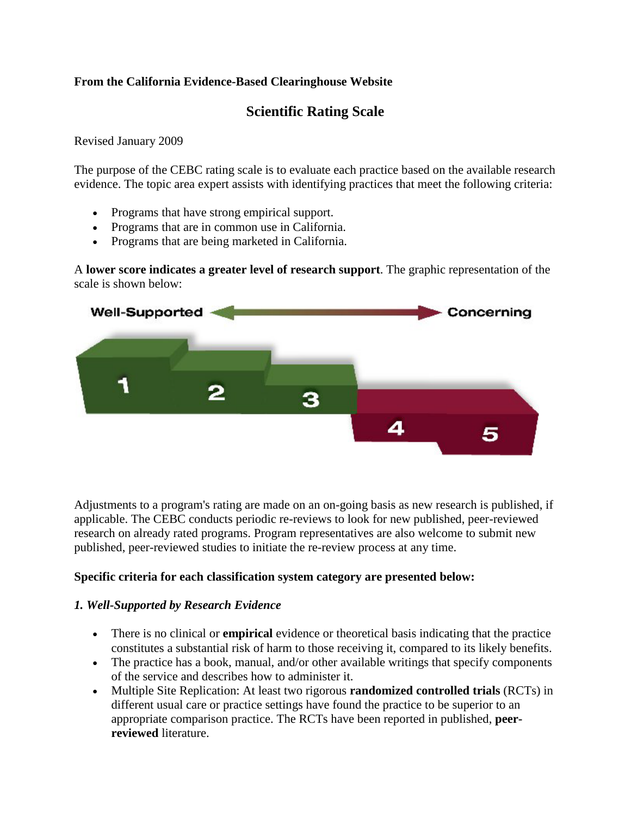#### **From the California Evidence-Based Clearinghouse Website**

# **Scientific Rating Scale**

[Revised January 2009](http://www.cebc4cw.org/rationale)

The purpose of the CEBC rating scale is to evaluate each practice based on the available research evidence. The topic area expert assists with identifying practices that meet the following criteria:

- Programs that have strong empirical support.
- Programs that are in common use in California.
- Programs that are being marketed in California.

A **lower score indicates a greater level of research support**. The graphic representation of the scale is shown below:



Adjustments to a program's rating are made on an on-going basis as new research is published, if applicable. The CEBC conducts periodic re-reviews to look for new published, peer-reviewed research on already rated programs. Program representatives are also welcome to submit new published, peer-reviewed studies to initiate the re-review process at any time.

#### **Specific criteria for each classification system category are presented below:**

#### *1. Well-Supported by Research Evidence*

- There is no clinical or **empirical** evidence or theoretical basis indicating that the practice constitutes a substantial risk of harm to those receiving it, compared to its likely benefits.
- The practice has a book, manual, and/or other available writings that specify components of the service and describes how to administer it.
- Multiple Site Replication: At least two rigorous **randomized controlled trials** (RCTs) in different usual care or practice settings have found the practice to be superior to an appropriate comparison practice. The RCTs have been reported in published, **peerreviewed** literature.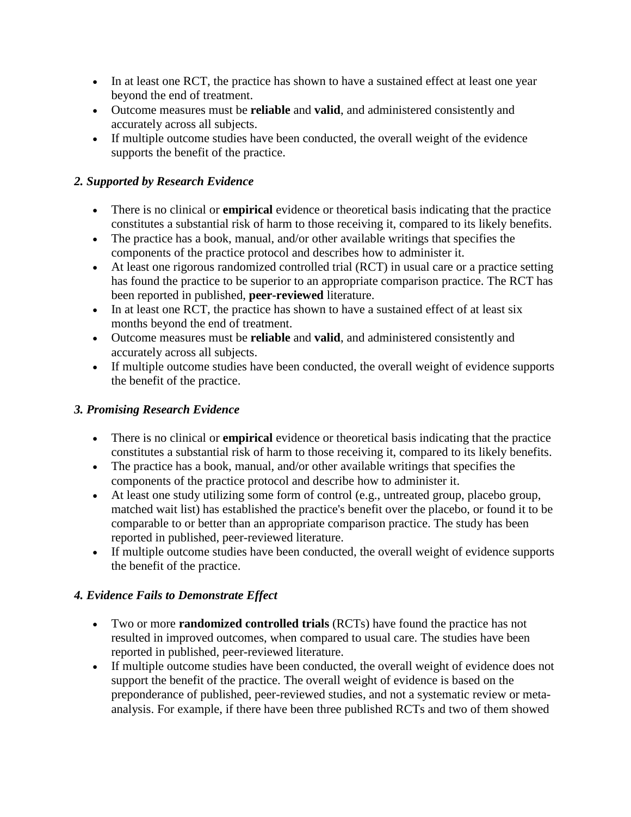- In at least one RCT, the practice has shown to have a sustained effect at least one year beyond the end of treatment.
- Outcome measures must be **reliable** and **valid**, and administered consistently and accurately across all subjects.
- If multiple outcome studies have been conducted, the overall weight of the evidence supports the benefit of the practice.

### *2. Supported by Research Evidence*

- There is no clinical or **empirical** evidence or theoretical basis indicating that the practice constitutes a substantial risk of harm to those receiving it, compared to its likely benefits.
- The practice has a book, manual, and/or other available writings that specifies the components of the practice protocol and describes how to administer it.
- At least one rigorous randomized controlled trial (RCT) in usual care or a practice setting has found the practice to be superior to an appropriate comparison practice. The RCT has been reported in published, **peer-reviewed** literature.
- In at least one RCT, the practice has shown to have a sustained effect of at least six months beyond the end of treatment.
- Outcome measures must be **reliable** and **valid**, and administered consistently and accurately across all subjects.
- If multiple outcome studies have been conducted, the overall weight of evidence supports the benefit of the practice.

### *3. Promising Research Evidence*

- There is no clinical or **empirical** evidence or theoretical basis indicating that the practice constitutes a substantial risk of harm to those receiving it, compared to its likely benefits.
- The practice has a book, manual, and/or other available writings that specifies the components of the practice protocol and describe how to administer it.
- At least one study utilizing some form of control (e.g., untreated group, placebo group, matched wait list) has established the practice's benefit over the placebo, or found it to be comparable to or better than an appropriate comparison practice. The study has been reported in published, peer-reviewed literature.
- If multiple outcome studies have been conducted, the overall weight of evidence supports the benefit of the practice.

## *4. Evidence Fails to Demonstrate Effect*

- Two or more **randomized controlled trials** (RCTs) have found the practice has not resulted in improved outcomes, when compared to usual care. The studies have been reported in published, peer-reviewed literature.
- If multiple outcome studies have been conducted, the overall weight of evidence does not support the benefit of the practice. The overall weight of evidence is based on the preponderance of published, peer-reviewed studies, and not a systematic review or metaanalysis. For example, if there have been three published RCTs and two of them showed